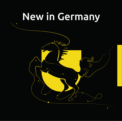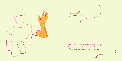



*This is how I start, from the airport to my pride From University, dorm to every side Pretty smile with a hand wave saying hi*

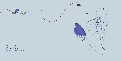*Thank you for you precious time, oh not in English, so Danke, is the perfect Prime*

Victen



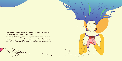*The nostalgia of the travel, relaxation and aroma of the blend are the component of the "coffee" word because of the hoping from country to another this magic bean wrote its name by the smile of old times travelers who memorize the reading of lips, until become a word defines itself through time.*

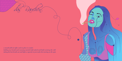*a mouth full of coffee and no place to smoke holding my breath and running outside half naked and half resisting the cold taking the last breath out and light a cigarette to just make the meeting on the spot.*



Ц.

 $\overline{\phantom{a}}$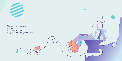

*The every morning relief, Not money, Not luxury perceive But plenty of bloating food to leave.*

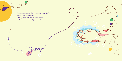*Surrounding signs, don't touch, no hand shake simple wave from behind Little of soap, rub, scrub, bubbles and wash hence no corona left on hand* 

 $\overline{G}$ 

 $\bullet$ 

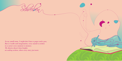*In my small room, I might don't have a paper and a pen, But a 4 walls and imagination, every sound is written in a corner every moment is memory. My diaries doesn't fear heights on sealing written, where every story just meet.*



 $\bullet$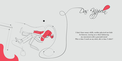

*I don't have many skills, neither physical nor hide In between, waving on a chair balancing my movement with a powerful mind This is how I work on my desk, this is how I slide!!*

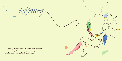*Everything around is hidden with a white blancket, Snow holding the inner green, so relaxing need a book, kafee and a cigarette packet.*

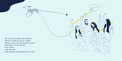*The music turn off the time machine Darkness breaks the purity of lights Moving and moving like the spirit search for the light, leaving the floor to the rhymes, to the harmony , to the happiness that oompah music add.*

 $\rightarrow$ 



全局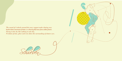*The sound of 4 wheels around the wavy support make skating easy but the elastic movement of skater, is a drawing that move from within frames. Flying in the sky like nothing to ask why, Freedom of time, place and even above the surrounding of skaters eyes.*





 $\bullet$ 

 $\bullet$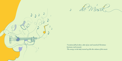



*Vacation full of colors, odor of joy and sound of Christmas harmony and acoustic The energy in the body turned up like the volume of the music*

 $\bigcirc$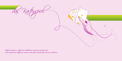*Different places, different childhood, and same joyful start Four characters different names and still winning like the ace of hearts.*

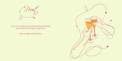

*it was a nice gathering of joy and positivity the drinks arrived and i heared them saying Prost!*

*cheers to happy upcoming days* 

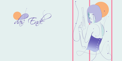